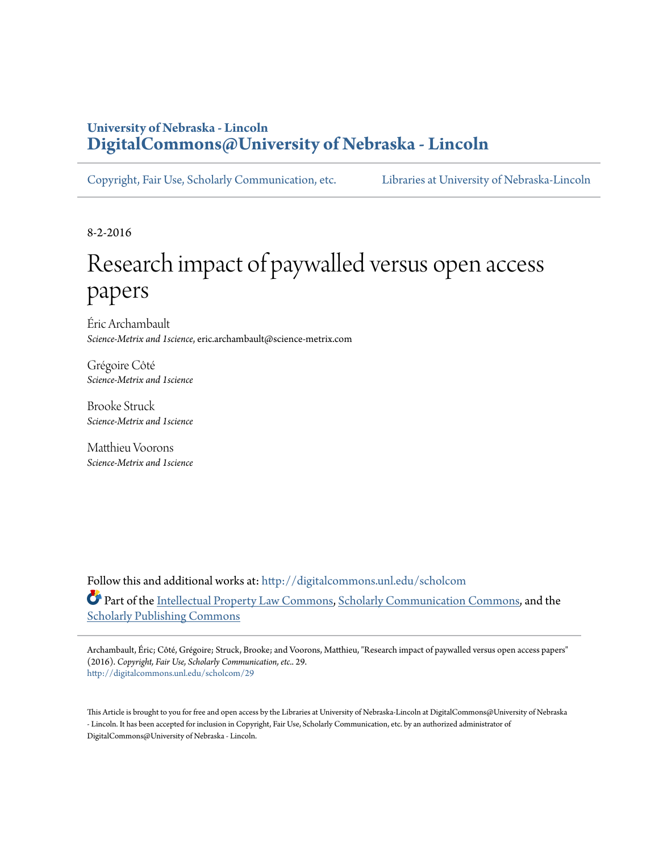# **University of Nebraska - Lincoln [DigitalCommons@University of Nebraska - Lincoln](http://digitalcommons.unl.edu?utm_source=digitalcommons.unl.edu%2Fscholcom%2F29&utm_medium=PDF&utm_campaign=PDFCoverPages)**

[Copyright, Fair Use, Scholarly Communication, etc.](http://digitalcommons.unl.edu/scholcom?utm_source=digitalcommons.unl.edu%2Fscholcom%2F29&utm_medium=PDF&utm_campaign=PDFCoverPages) [Libraries at University of Nebraska-Lincoln](http://digitalcommons.unl.edu/libraries?utm_source=digitalcommons.unl.edu%2Fscholcom%2F29&utm_medium=PDF&utm_campaign=PDFCoverPages)

8-2-2016

# Research impact of paywalled versus open access papers

Éric Archambault *Science-Metrix and 1science*, eric.archambault@science-metrix.com

Grégoire Côté *Science-Metrix and 1science*

Brooke Struck *Science-Metrix and 1science*

Matthieu Voorons *Science-Metrix and 1science*

Follow this and additional works at: [http://digitalcommons.unl.edu/scholcom](http://digitalcommons.unl.edu/scholcom?utm_source=digitalcommons.unl.edu%2Fscholcom%2F29&utm_medium=PDF&utm_campaign=PDFCoverPages) Part of the [Intellectual Property Law Commons,](http://network.bepress.com/hgg/discipline/896?utm_source=digitalcommons.unl.edu%2Fscholcom%2F29&utm_medium=PDF&utm_campaign=PDFCoverPages) [Scholarly Communication Commons,](http://network.bepress.com/hgg/discipline/1272?utm_source=digitalcommons.unl.edu%2Fscholcom%2F29&utm_medium=PDF&utm_campaign=PDFCoverPages) and the [Scholarly Publishing Commons](http://network.bepress.com/hgg/discipline/1273?utm_source=digitalcommons.unl.edu%2Fscholcom%2F29&utm_medium=PDF&utm_campaign=PDFCoverPages)

Archambault, Éric; Côté, Grégoire; Struck, Brooke; and Voorons, Matthieu, "Research impact of paywalled versus open access papers" (2016). *Copyright, Fair Use, Scholarly Communication, etc.*. 29. [http://digitalcommons.unl.edu/scholcom/29](http://digitalcommons.unl.edu/scholcom/29?utm_source=digitalcommons.unl.edu%2Fscholcom%2F29&utm_medium=PDF&utm_campaign=PDFCoverPages)

This Article is brought to you for free and open access by the Libraries at University of Nebraska-Lincoln at DigitalCommons@University of Nebraska - Lincoln. It has been accepted for inclusion in Copyright, Fair Use, Scholarly Communication, etc. by an authorized administrator of DigitalCommons@University of Nebraska - Lincoln.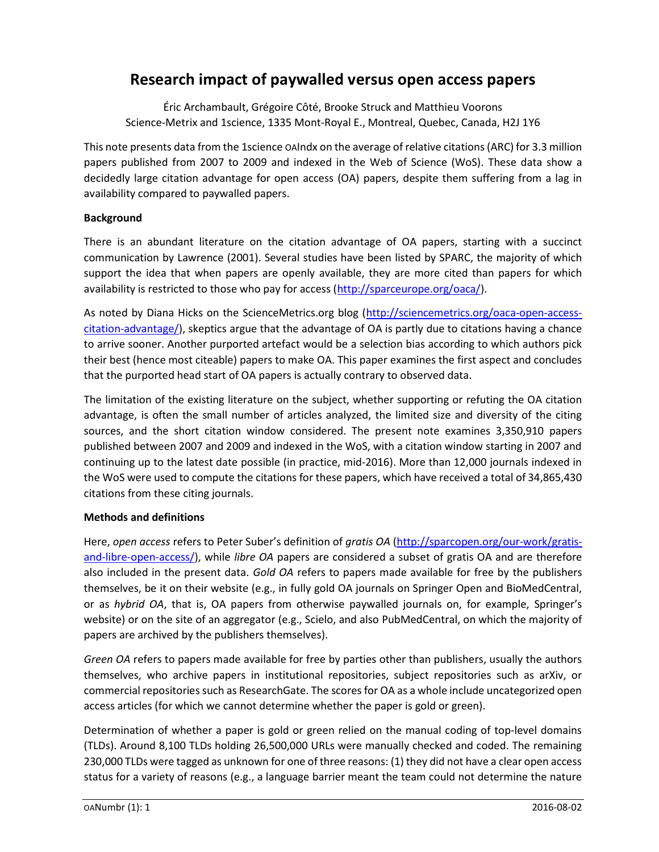# Research impact of paywalled versus open access papers

Éric Archambault, Grégoire Côté, Brooke Struck and Matthieu Voorons Science-Metrix and 1science, 1335 Mont-Royal E., Montreal, Quebec, Canada, H2J 1Y6

This note presents data from the 1science OAIndx on the average of relative citations (ARC) for 3.3 million papers published from 2007 to 2009 and indexed in the Web of Science (WoS). These data show a decidedly large citation advantage for open access (OA) papers, despite them suffering from a lag in availability compared to paywalled papers.

# **Background**

There is an abundant literature on the citation advantage of OA papers, starting with a succinct communication by Lawrence (2001). Several studies have been listed by SPARC, the majority of which support the idea that when papers are openly available, they are more cited than papers for which availability is restricted to those who pay for access (http://sparceurope.org/oaca/).

As noted by Diana Hicks on the ScienceMetrics.org blog (http://sciencemetrics.org/oaca-open-accesscitation-advantage/), skeptics argue that the advantage of OA is partly due to citations having a chance to arrive sooner. Another purported artefact would be a selection bias according to which authors pick their best (hence most citeable) papers to make OA. This paper examines the first aspect and concludes that the purported head start of OA papers is actually contrary to observed data.

The limitation of the existing literature on the subject, whether supporting or refuting the OA citation advantage, is often the small number of articles analyzed, the limited size and diversity of the citing sources, and the short citation window considered. The present note examines 3,350,910 papers published between 2007 and 2009 and indexed in the WoS, with a citation window starting in 2007 and continuing up to the latest date possible (in practice, mid-2016). More than 12,000 journals indexed in the WoS were used to compute the citations for these papers, which have received a total of 34,865,430 citations from these citing journals.

# Methods and definitions

Here, open access refers to Peter Suber's definition of gratis OA (http://sparcopen.org/our-work/gratisand-libre-open-access/), while libre OA papers are considered a subset of gratis OA and are therefore also included in the present data. Gold OA refers to papers made available for free by the publishers themselves, be it on their website (e.g., in fully gold OA journals on Springer Open and BioMedCentral, or as hybrid OA, that is, OA papers from otherwise paywalled journals on, for example, Springer's website) or on the site of an aggregator (e.g., Scielo, and also PubMedCentral, on which the majority of papers are archived by the publishers themselves).

Green OA refers to papers made available for free by parties other than publishers, usually the authors themselves, who archive papers in institutional repositories, subject repositories such as arXiv, or commercial repositories such as ResearchGate. The scores for OA as a whole include uncategorized open access articles (for which we cannot determine whether the paper is gold or green).

Determination of whether a paper is gold or green relied on the manual coding of top-level domains (TLDs). Around 8,100 TLDs holding 26,500,000 URLs were manually checked and coded. The remaining 230,000 TLDs were tagged as unknown for one of three reasons: (1) they did not have a clear open access status for a variety of reasons (e.g., a language barrier meant the team could not determine the nature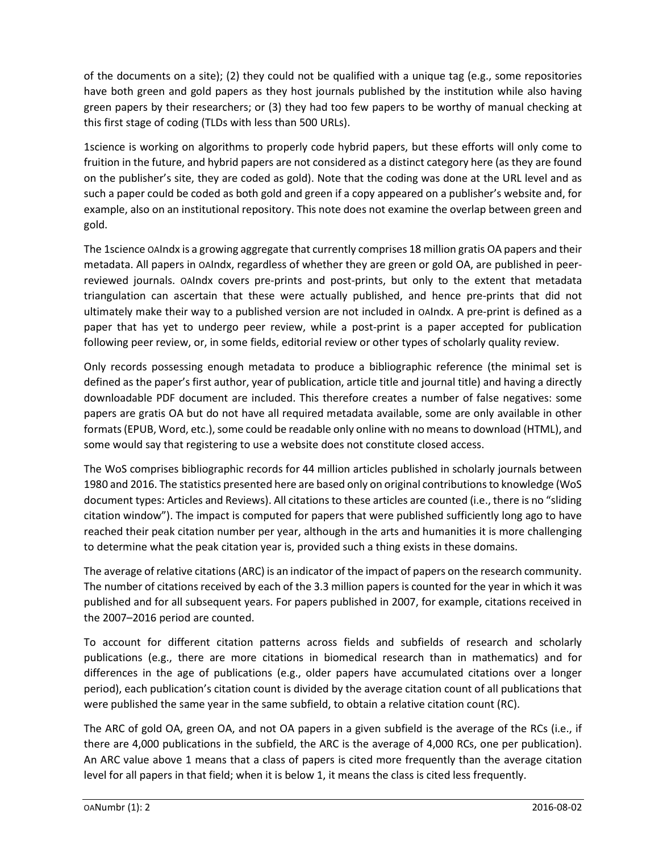of the documents on a site); (2) they could not be qualified with a unique tag (e.g., some repositories have both green and gold papers as they host journals published by the institution while also having green papers by their researchers; or (3) they had too few papers to be worthy of manual checking at this first stage of coding (TLDs with less than 500 URLs).

1science is working on algorithms to properly code hybrid papers, but these efforts will only come to fruition in the future, and hybrid papers are not considered as a distinct category here (as they are found on the publisher's site, they are coded as gold). Note that the coding was done at the URL level and as such a paper could be coded as both gold and green if a copy appeared on a publisher's website and, for example, also on an institutional repository. This note does not examine the overlap between green and gold.

The 1science OAIndx is a growing aggregate that currently comprises 18 million gratis OA papers and their metadata. All papers in OAIndx, regardless of whether they are green or gold OA, are published in peerreviewed journals. OAIndx covers pre-prints and post-prints, but only to the extent that metadata triangulation can ascertain that these were actually published, and hence pre-prints that did not ultimately make their way to a published version are not included in OAIndx. A pre-print is defined as a paper that has yet to undergo peer review, while a post-print is a paper accepted for publication following peer review, or, in some fields, editorial review or other types of scholarly quality review.

Only records possessing enough metadata to produce a bibliographic reference (the minimal set is defined as the paper's first author, year of publication, article title and journal title) and having a directly downloadable PDF document are included. This therefore creates a number of false negatives: some papers are gratis OA but do not have all required metadata available, some are only available in other formats (EPUB, Word, etc.), some could be readable only online with no means to download (HTML), and some would say that registering to use a website does not constitute closed access.

The WoS comprises bibliographic records for 44 million articles published in scholarly journals between 1980 and 2016. The statistics presented here are based only on original contributions to knowledge (WoS document types: Articles and Reviews). All citations to these articles are counted (i.e., there is no "sliding citation window"). The impact is computed for papers that were published sufficiently long ago to have reached their peak citation number per year, although in the arts and humanities it is more challenging to determine what the peak citation year is, provided such a thing exists in these domains.

The average of relative citations (ARC) is an indicator of the impact of papers on the research community. The number of citations received by each of the 3.3 million papers is counted for the year in which it was published and for all subsequent years. For papers published in 2007, for example, citations received in the 2007–2016 period are counted.

To account for different citation patterns across fields and subfields of research and scholarly publications (e.g., there are more citations in biomedical research than in mathematics) and for differences in the age of publications (e.g., older papers have accumulated citations over a longer period), each publication's citation count is divided by the average citation count of all publications that were published the same year in the same subfield, to obtain a relative citation count (RC).

The ARC of gold OA, green OA, and not OA papers in a given subfield is the average of the RCs (i.e., if there are 4,000 publications in the subfield, the ARC is the average of 4,000 RCs, one per publication). An ARC value above 1 means that a class of papers is cited more frequently than the average citation level for all papers in that field; when it is below 1, it means the class is cited less frequently.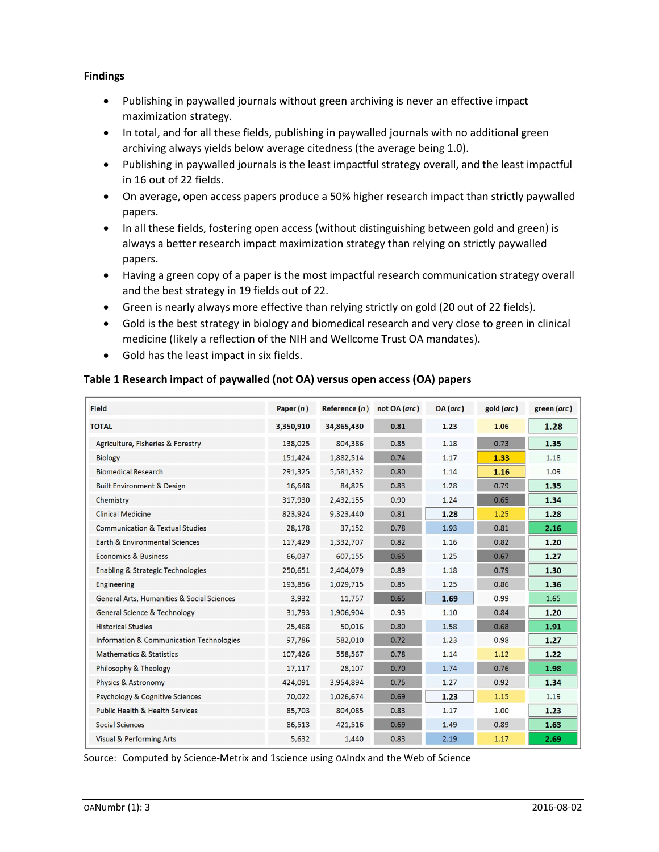## Findings

- Publishing in paywalled journals without green archiving is never an effective impact maximization strategy.
- In total, and for all these fields, publishing in paywalled journals with no additional green archiving always yields below average citedness (the average being 1.0).
- Publishing in paywalled journals is the least impactful strategy overall, and the least impactful in 16 out of 22 fields.
- On average, open access papers produce a 50% higher research impact than strictly paywalled papers.
- In all these fields, fostering open access (without distinguishing between gold and green) is always a better research impact maximization strategy than relying on strictly paywalled papers.
- Having a green copy of a paper is the most impactful research communication strategy overall and the best strategy in 19 fields out of 22.
- Green is nearly always more effective than relying strictly on gold (20 out of 22 fields).
- Gold is the best strategy in biology and biomedical research and very close to green in clinical medicine (likely a reflection of the NIH and Wellcome Trust OA mandates).
- Gold has the least impact in six fields.

# Table 1 Research impact of paywalled (not OA) versus open access (OA) papers

| <b>Field</b>                                          | Paper $(n)$ | Reference $(n)$ | not OA (arc) | OA( <i>arc</i> ) | gold (arc) | green (arc) |
|-------------------------------------------------------|-------------|-----------------|--------------|------------------|------------|-------------|
| <b>TOTAL</b>                                          | 3,350,910   | 34,865,430      | 0.81         | 1.23             | 1.06       | 1.28        |
| Agriculture, Fisheries & Forestry                     | 138,025     | 804,386         | 0.85         | 1.18             | 0.73       | 1.35        |
| <b>Biology</b>                                        | 151,424     | 1,882,514       | 0.74         | 1.17             | 1.33       | 1.18        |
| <b>Biomedical Research</b>                            | 291,325     | 5,581,332       | 0.80         | 1.14             | 1.16       | 1.09        |
| <b>Built Environment &amp; Design</b>                 | 16,648      | 84,825          | 0.83         | 1.28             | 0.79       | 1.35        |
| Chemistry                                             | 317,930     | 2,432,155       | 0.90         | 1.24             | 0.65       | 1.34        |
| <b>Clinical Medicine</b>                              | 823,924     | 9,323,440       | 0.81         | 1.28             | 1.25       | 1.28        |
| <b>Communication &amp; Textual Studies</b>            | 28,178      | 37,152          | 0.78         | 1.93             | 0.81       | 2.16        |
| <b>Earth &amp; Environmental Sciences</b>             | 117,429     | 1,332,707       | 0.82         | 1.16             | 0.82       | 1.20        |
| <b>Economics &amp; Business</b>                       | 66,037      | 607,155         | 0.65         | 1.25             | 0.67       | 1.27        |
| <b>Enabling &amp; Strategic Technologies</b>          | 250,651     | 2,404,079       | 0.89         | 1.18             | 0.79       | 1.30        |
| <b>Engineering</b>                                    | 193,856     | 1,029,715       | 0.85         | 1.25             | 0.86       | 1.36        |
| <b>General Arts, Humanities &amp; Social Sciences</b> | 3,932       | 11,757          | 0.65         | 1.69             | 0.99       | 1.65        |
| <b>General Science &amp; Technology</b>               | 31,793      | 1,906,904       | 0.93         | 1.10             | 0.84       | 1.20        |
| <b>Historical Studies</b>                             | 25,468      | 50,016          | 0.80         | 1.58             | 0.68       | 1.91        |
| <b>Information &amp; Communication Technologies</b>   | 97,786      | 582,010         | 0.72         | 1.23             | 0.98       | 1.27        |
| <b>Mathematics &amp; Statistics</b>                   | 107,426     | 558,567         | 0.78         | 1.14             | 1.12       | 1.22        |
| Philosophy & Theology                                 | 17,117      | 28,107          | 0.70         | 1.74             | 0.76       | 1.98        |
| <b>Physics &amp; Astronomy</b>                        | 424,091     | 3,954,894       | 0.75         | 1.27             | 0.92       | 1.34        |
| <b>Psychology &amp; Cognitive Sciences</b>            | 70,022      | 1,026,674       | 0.69         | 1.23             | 1.15       | 1.19        |
| <b>Public Health &amp; Health Services</b>            | 85,703      | 804,085         | 0.83         | 1.17             | 1.00       | 1.23        |
| <b>Social Sciences</b>                                | 86,513      | 421,516         | 0.69         | 1.49             | 0.89       | 1.63        |
| <b>Visual &amp; Performing Arts</b>                   | 5,632       | 1,440           | 0.83         | 2.19             | 1.17       | 2.69        |

Source: Computed by Science-Metrix and 1science using OAIndx and the Web of Science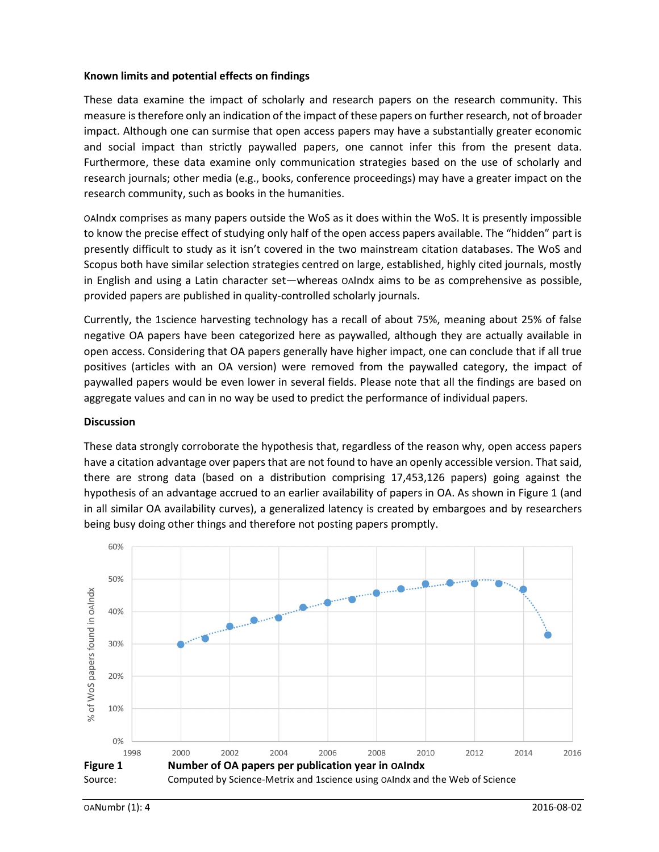#### Known limits and potential effects on findings

These data examine the impact of scholarly and research papers on the research community. This measure is therefore only an indication of the impact of these papers on further research, not of broader impact. Although one can surmise that open access papers may have a substantially greater economic and social impact than strictly paywalled papers, one cannot infer this from the present data. Furthermore, these data examine only communication strategies based on the use of scholarly and research journals; other media (e.g., books, conference proceedings) may have a greater impact on the research community, such as books in the humanities.

OAIndx comprises as many papers outside the WoS as it does within the WoS. It is presently impossible to know the precise effect of studying only half of the open access papers available. The "hidden" part is presently difficult to study as it isn't covered in the two mainstream citation databases. The WoS and Scopus both have similar selection strategies centred on large, established, highly cited journals, mostly in English and using a Latin character set—whereas OAIndx aims to be as comprehensive as possible, provided papers are published in quality-controlled scholarly journals.

Currently, the 1science harvesting technology has a recall of about 75%, meaning about 25% of false negative OA papers have been categorized here as paywalled, although they are actually available in open access. Considering that OA papers generally have higher impact, one can conclude that if all true positives (articles with an OA version) were removed from the paywalled category, the impact of paywalled papers would be even lower in several fields. Please note that all the findings are based on aggregate values and can in no way be used to predict the performance of individual papers.

#### **Discussion**

These data strongly corroborate the hypothesis that, regardless of the reason why, open access papers have a citation advantage over papers that are not found to have an openly accessible version. That said, there are strong data (based on a distribution comprising 17,453,126 papers) going against the hypothesis of an advantage accrued to an earlier availability of papers in OA. As shown in Figure 1 (and in all similar OA availability curves), a generalized latency is created by embargoes and by researchers being busy doing other things and therefore not posting papers promptly.